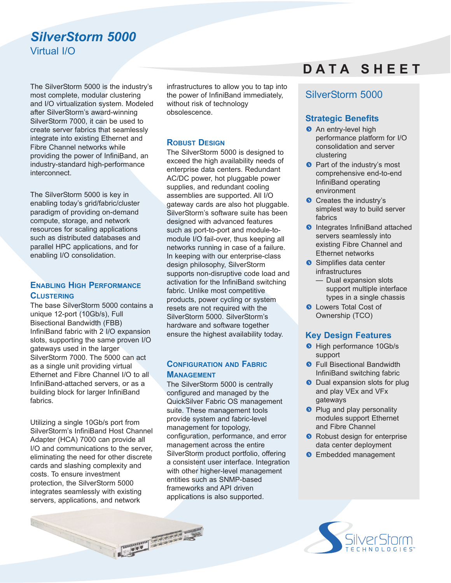# *SilverStorm 5000* Virtual I/O

The SilverStorm 5000 is the industry's most complete, modular clustering and I/O virtualization system. Modeled after SilverStorm's award-winning SilverStorm 7000, it can be used to create server fabrics that seamlessly integrate into existing Ethernet and Fibre Channel networks while providing the power of InfiniBand, an industry-standard high-performance interconnect.

The SilverStorm 5000 is key in enabling today's grid/fabric/cluster paradigm of providing on-demand compute, storage, and network resources for scaling applications such as distributed databases and parallel HPC applications, and for enabling I/O consolidation.

## **ENABLING HIGH PERFORMANCE CLUSTERING**

The base SilverStorm 5000 contains a unique 12-port (10Gb/s), Full Bisectional Bandwidth (FBB) InfiniBand fabric with 2 I/O expansion slots, supporting the same proven I/O gateways used in the larger SilverStorm 7000. The 5000 can act as a single unit providing virtual Ethernet and Fibre Channel I/O to all InfiniBand-attached servers, or as a building block for larger InfiniBand fabrics.

Utilizing a single 10Gb/s port from SilverStorm's InfiniBand Host Channel Adapter (HCA) 7000 can provide all I/O and communications to the server, eliminating the need for other discrete cards and slashing complexity and costs. To ensure investment protection, the SilverStorm 5000 integrates seamlessly with existing servers, applications, and network

**CONTRACTOR** 

infrastructures to allow you to tap into the power of InfiniBand immediately, without risk of technology obsolescence.

### **ROBUST DESIGN**

The SilverStorm 5000 is designed to exceed the high availability needs of enterprise data centers. Redundant AC/DC power, hot pluggable power supplies, and redundant cooling assemblies are supported. All I/O gateway cards are also hot pluggable. SilverStorm's software suite has been designed with advanced features such as port-to-port and module-tomodule I/O fail-over, thus keeping all networks running in case of a failure. In keeping with our enterprise-class design philosophy, SilverStorm supports non-disruptive code load and activation for the InfiniBand switching fabric. Unlike most competitive products, power cycling or system resets are not required with the SilverStorm 5000. SilverStorm's hardware and software together ensure the highest availability today.

## **CONFIGURATION AND FABRIC MANAGEMENT**

The SilverStorm 5000 is centrally configured and managed by the QuickSilver Fabric OS management suite. These management tools provide system and fabric-level management for topology, configuration, performance, and error management across the entire SilverStorm product portfolio, offering a consistent user interface. Integration with other higher-level management entities such as SNMP-based frameworks and API driven applications is also supported.

# **D A T A S H E E T**

## SilverStorm 5000

## **Strategic Benefits**

- **An entry-level high** performance platform for I/O consolidation and server clustering
- **O** Part of the industry's most comprehensive end-to-end InfiniBand operating environment
- Creates the industry's simplest way to build server fabrics
- **O** Integrates InfiniBand attached servers seamlessly into existing Fibre Channel and Ethernet networks
- Simplifies data center infrastructures
	- Dual expansion slots support multiple interface types in a single chassis
- **Q** Lowers Total Cost of Ownership (TCO)

## **Key Design Features**

- **O** High performance 10Gb/s support
- **•** Full Bisectional Bandwidth InfiniBand switching fabric
- **O** Dual expansion slots for plug and play VEx and VFx gateways
- **Plug and play personality** modules support Ethernet and Fibre Channel
- **Robust design for enterprise** data center deployment
- **S** Embedded management